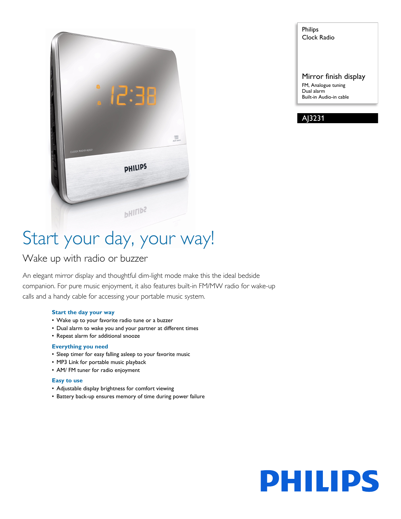

Philips Clock Radio

Mirror finish display FM, Analogue tuning Dual alarm Built-in Audio-in cable



# Start your day, your way!

### Wake up with radio or buzzer

An elegant mirror display and thoughtful dim-light mode make this the ideal bedside companion. For pure music enjoyment, it also features built-in FM/MW radio for wake-up calls and a handy cable for accessing your portable music system.

#### **Start the day your way**

- Wake up to your favorite radio tune or a buzzer
- Dual alarm to wake you and your partner at different times
- Repeat alarm for additional snooze

#### **Everything you need**

- Sleep timer for easy falling asleep to your favorite music
- MP3 Link for portable music playback
- AM/ FM tuner for radio enjoyment

#### **Easy to use**

- Adjustable display brightness for comfort viewing
- Battery back-up ensures memory of time during power failure

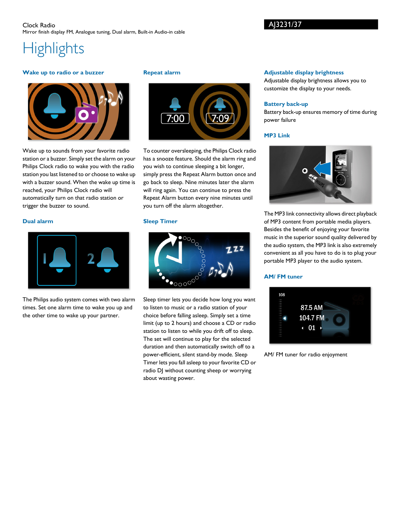#### Clock Radio Mirror finish display FM, Analogue tuning, Dual alarm, Built-in Audio-in cable

## **Highlights**

#### **Wake up to radio or a buzzer**



Wake up to sounds from your favorite radio station or a buzzer. Simply set the alarm on your Philips Clock radio to wake you with the radio station you last listened to or choose to wake up with a buzzer sound. When the wake up time is reached, your Philips Clock radio will automatically turn on that radio station or trigger the buzzer to sound.

#### **Dual alarm**



The Philips audio system comes with two alarm times. Set one alarm time to wake you up and the other time to wake up your partner.

#### **Repeat alarm**



To counter oversleeping, the Philips Clock radio has a snooze feature. Should the alarm ring and you wish to continue sleeping a bit longer, simply press the Repeat Alarm button once and go back to sleep. Nine minutes later the alarm will ring again. You can continue to press the Repeat Alarm button every nine minutes until you turn off the alarm altogether.

#### **Sleep Timer**



Sleep timer lets you decide how long you want to listen to music or a radio station of your choice before falling asleep. Simply set a time limit (up to 2 hours) and choose a CD or radio station to listen to while you drift off to sleep. The set will continue to play for the selected duration and then automatically switch off to a power-efficient, silent stand-by mode. Sleep Timer lets you fall asleep to your favorite CD or radio DJ without counting sheep or worrying about wasting power.

#### **Adjustable display brightness**

Adjustable display brightness allows you to customize the display to your needs.

#### **Battery back-up**

Battery back-up ensures memory of time during power failure

#### **MP3 Link**



The MP3 link connectivity allows direct playback of MP3 content from portable media players. Besides the benefit of enjoying your favorite music in the superior sound quality delivered by the audio system, the MP3 link is also extremely convenient as all you have to do is to plug your portable MP3 player to the audio system.

#### **AM/ FM tuner**



AM/ FM tuner for radio enjoyment